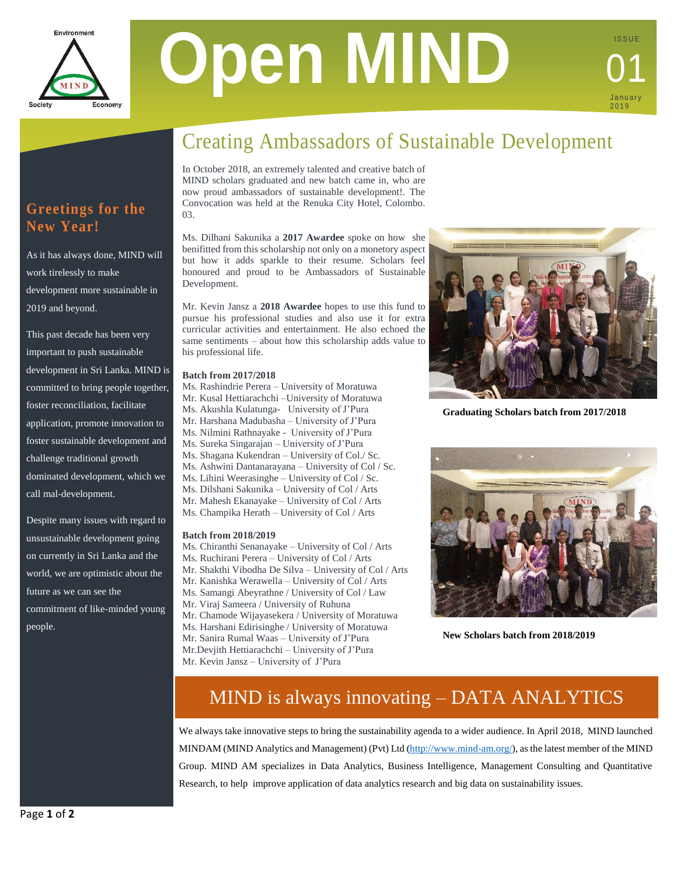

# **Open MIND**

## **January** 2 0 1 9 01

I S S U E

## **Greetings for the New Year!**

As it has always done, MIND will work tirelessly to make development more sustainable in 2019 and beyond.

This past decade has been very important to push sustainable development in Sri Lanka. MIND is committed to bring people together, foster reconciliation, facilitate application, promote innovation to foster sustainable development and challenge traditional growth dominated development, which we call mal-development.

Despite many issues with regard to unsustainable development going on currently in Sri Lanka and the world, we are optimistic about the future as we can see the commitment of like-minded young people.

# Creating Ambassadors of Sustainable Development

In October 2018, an extremely talented and creative batch of MIND scholars graduated and new batch came in, who are now proud ambassadors of sustainable development!. The Convocation was held at the Renuka City Hotel, Colombo. 03.

Ms. Dilhani Sakunika a **2017 Awardee** spoke on how she benifitted from this scholarship not only on a monetory aspect but how it adds sparkle to their resume. Scholars feel honoured and proud to be Ambassadors of Sustainable Development.

Mr. Kevin Jansz a **2018 Awardee** hopes to use this fund to pursue his professional studies and also use it for extra curricular activities and entertainment. He also echoed the same sentiments – about how this scholarship adds value to his professional life.

#### **Batch from 2017/2018**

Ms. Rashindrie Perera – University of Moratuwa Mr. Kusal Hettiarachchi –University of Moratuwa Ms. Akushla Kulatunga- University of J'Pura Mr. Harshana Madubasha – University of J'Pura Ms. Nilmini Rathnayake - University of J'Pura Ms. Sureka Singarajan – University of J'Pura Ms. Shagana Kukendran – University of Col./ Sc. Ms. Ashwini Dantanarayana – University of Col / Sc. Ms. Lihini Weerasinghe – University of Col / Sc. Ms. Dilshani Sakunika – University of Col / Arts Mr. Mahesh Ekanayake – University of Col / Arts Ms. Champika Herath – University of Col / Arts

#### **Batch from 2018/2019**

Ms. Chiranthi Senanayake – University of Col / Arts Ms. Ruchirani Perera – University of Col / Arts Mr. Shakthi Vibodha De Silva – University of Col / Arts Mr. Kanishka Werawella – University of Col / Arts Ms. Samangi Abeyrathne / University of Col / Law Mr. Viraj Sameera / University of Ruhuna Mr. Chamode Wijayasekera / University of Moratuwa Ms. Harshani Edirisinghe / University of Moratuwa Mr. Sanira Rumal Waas – University of J'Pura Mr.Devjith Hettiarachchi – University of J'Pura Mr. Kevin Jansz – University of J'Pura



**Graduating Scholars batch from 2017/2018**



**New Scholars batch from 2018/2019**

# MIND is always innovating – DATA ANALYTICS

We always take innovative steps to bring the sustainability agenda to a wider audience. In April 2018, MIND launched MINDAM (MIND Analytics and Management) (Pvt) Ltd [\(http://www.mind-am.org/\)](http://www.mind-am.org/), as the latest member of the MIND Group. MIND AM specializes in Data Analytics, Business Intelligence, Management Consulting and Quantitative Research, to help improve application of data analytics research and big data on sustainability issues.